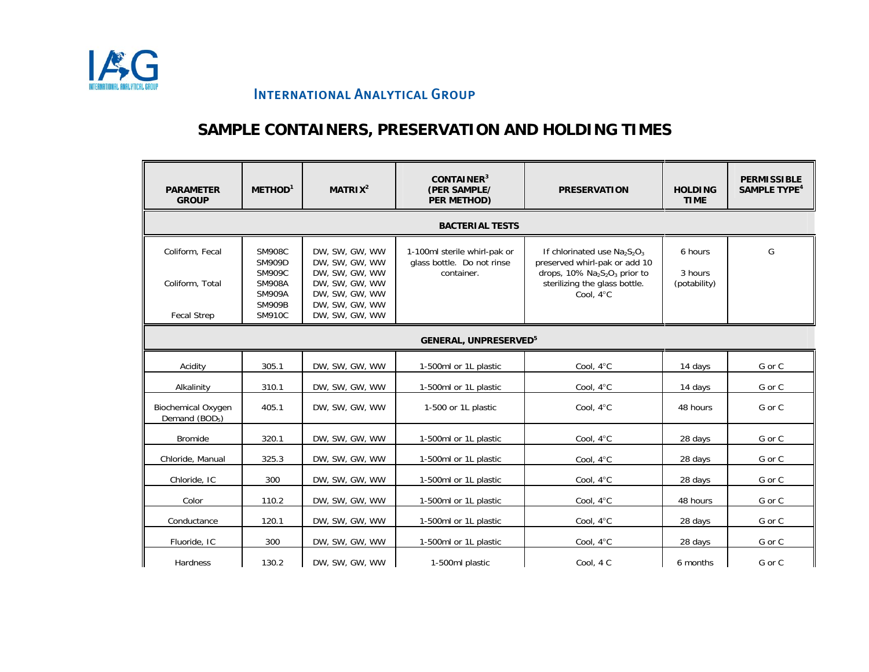

# **SAMPLE CONTAINERS, PRESERVATION AND HOLDING TIMES**

| <b>PARAMETER</b><br><b>GROUP</b>                        | METHOD <sup>1</sup>                                                               | MATRIX <sup>2</sup>                                                                    | CONTAINER <sup>3</sup><br>(PER SAMPLE/<br>PER METHOD)                    | <b>PRESERVATION</b>                                                                                                                                                                 | <b>HOLDING</b><br><b>TIME</b>      | <b>PERMISSIBLE</b><br>SAMPLE TYPE <sup>4</sup> |  |
|---------------------------------------------------------|-----------------------------------------------------------------------------------|----------------------------------------------------------------------------------------|--------------------------------------------------------------------------|-------------------------------------------------------------------------------------------------------------------------------------------------------------------------------------|------------------------------------|------------------------------------------------|--|
|                                                         |                                                                                   |                                                                                        | <b>BACTERIAL TESTS</b>                                                   |                                                                                                                                                                                     |                                    |                                                |  |
| Coliform, Fecal<br>Coliform, Total                      | <b>SM908C</b><br><b>SM909D</b><br><b>SM909C</b><br><b>SM908A</b><br><b>SM909A</b> | DW. SW. GW. WW<br>DW, SW, GW, WW<br>DW. SW. GW. WW<br>DW, SW, GW, WW<br>DW, SW, GW, WW | 1-100ml sterile whirl-pak or<br>glass bottle. Do not rinse<br>container. | If chlorinated use $Na2S2O3$<br>preserved whirl-pak or add 10<br>drops, $10\%$ Na <sub>2</sub> S <sub>2</sub> O <sub>3</sub> prior to<br>sterilizing the glass bottle.<br>Cool. 4°C | 6 hours<br>3 hours<br>(potability) | G                                              |  |
| <b>Fecal Strep</b>                                      | <b>SM909B</b><br><b>SM910C</b>                                                    | DW, SW, GW, WW<br>DW, SW, GW, WW                                                       |                                                                          |                                                                                                                                                                                     |                                    |                                                |  |
|                                                         | <b>GENERAL, UNPRESERVED<sup>5</sup></b>                                           |                                                                                        |                                                                          |                                                                                                                                                                                     |                                    |                                                |  |
| Acidity                                                 | 305.1                                                                             | DW, SW, GW, WW                                                                         | 1-500ml or 1L plastic                                                    | Cool, 4°C                                                                                                                                                                           | 14 days                            | G or C                                         |  |
| Alkalinity                                              | 310.1                                                                             | DW, SW, GW, WW                                                                         | 1-500ml or 1L plastic                                                    | Cool, 4°C                                                                                                                                                                           | 14 days                            | G or C                                         |  |
| <b>Biochemical Oxygen</b><br>Demand (BOD <sub>5</sub> ) | 405.1                                                                             | DW, SW, GW, WW                                                                         | 1-500 or 1L plastic                                                      | Cool, 4°C                                                                                                                                                                           | 48 hours                           | G or C                                         |  |
| Bromide                                                 | 320.1                                                                             | DW, SW, GW, WW                                                                         | 1-500ml or 1L plastic                                                    | Cool, 4°C                                                                                                                                                                           | 28 days                            | G or C                                         |  |
| Chloride, Manual                                        | 325.3                                                                             | DW, SW, GW, WW                                                                         | 1-500ml or 1L plastic                                                    | Cool, 4°C                                                                                                                                                                           | 28 days                            | G or C                                         |  |
| Chloride, IC                                            | 300                                                                               | DW, SW, GW, WW                                                                         | 1-500ml or 1L plastic                                                    | Cool, 4°C                                                                                                                                                                           | 28 days                            | G or C                                         |  |
| Color                                                   | 110.2                                                                             | DW, SW, GW, WW                                                                         | 1-500ml or 1L plastic                                                    | Cool, 4°C                                                                                                                                                                           | 48 hours                           | G or C                                         |  |
| Conductance                                             | 120.1                                                                             | DW, SW, GW, WW                                                                         | 1-500ml or 1L plastic                                                    | Cool, 4°C                                                                                                                                                                           | 28 days                            | G or C                                         |  |
| Fluoride, IC                                            | 300                                                                               | DW, SW, GW, WW                                                                         | 1-500ml or 1L plastic                                                    | Cool, 4°C                                                                                                                                                                           | 28 days                            | G or C                                         |  |
| Hardness                                                | 130.2                                                                             | DW, SW, GW, WW                                                                         | 1-500ml plastic                                                          | Cool, 4 C                                                                                                                                                                           | 6 months                           | G or C                                         |  |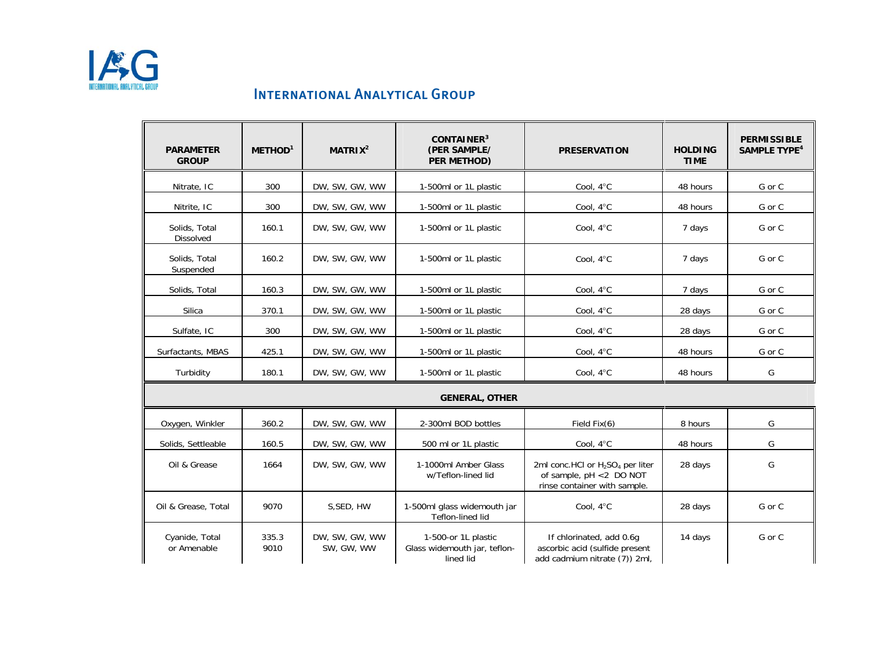

| <b>PARAMETER</b><br><b>GROUP</b> | METHOD <sup>1</sup> | MATRIX <sup>2</sup>          | CONTAINER <sup>3</sup><br>(PER SAMPLE/<br>PER METHOD)            | <b>PRESERVATION</b>                                                                                                 | <b>HOLDING</b><br><b>TIME</b> | <b>PERMISSIBLE</b><br><b>SAMPLE TYPE<sup>4</sup></b> |
|----------------------------------|---------------------|------------------------------|------------------------------------------------------------------|---------------------------------------------------------------------------------------------------------------------|-------------------------------|------------------------------------------------------|
| Nitrate, IC                      | 300                 | DW, SW, GW, WW               | 1-500ml or 1L plastic                                            | Cool, 4°C                                                                                                           | 48 hours                      | G or C                                               |
| Nitrite, IC                      | 300                 | DW, SW, GW, WW               | 1-500ml or 1L plastic                                            | Cool, 4°C                                                                                                           | 48 hours                      | G or C                                               |
| Solids, Total<br>Dissolved       | 160.1               | DW, SW, GW, WW               | 1-500ml or 1L plastic                                            | Cool, 4°C                                                                                                           | 7 days                        | G or C                                               |
| Solids, Total<br>Suspended       | 160.2               | DW. SW. GW. WW               | 1-500ml or 1L plastic                                            | Cool, 4°C                                                                                                           | 7 days                        | G or C                                               |
| Solids, Total                    | 160.3               | DW, SW, GW, WW               | 1-500ml or 1L plastic                                            | Cool, 4°C                                                                                                           | 7 days                        | G or C                                               |
| Silica                           | 370.1               | DW, SW, GW, WW               | 1-500ml or 1L plastic                                            | Cool, 4°C                                                                                                           | 28 days                       | G or C                                               |
| Sulfate, IC                      | 300                 | DW, SW, GW, WW               | 1-500ml or 1L plastic                                            | Cool, 4°C                                                                                                           | 28 days                       | G or C                                               |
| Surfactants, MBAS                | 425.1               | DW, SW, GW, WW               | 1-500ml or 1L plastic                                            | Cool, 4°C                                                                                                           | 48 hours                      | G or C                                               |
| Turbidity                        | 180.1               | DW, SW, GW, WW               | 1-500ml or 1L plastic                                            | Cool, 4°C                                                                                                           | 48 hours                      | G                                                    |
|                                  |                     |                              | <b>GENERAL, OTHER</b>                                            |                                                                                                                     |                               |                                                      |
| Oxygen, Winkler                  | 360.2               | DW, SW, GW, WW               | 2-300ml BOD bottles                                              | Field Fix(6)                                                                                                        | 8 hours                       | G                                                    |
| Solids, Settleable               | 160.5               | DW, SW, GW, WW               | 500 ml or 1L plastic                                             | Cool, 4°C                                                                                                           | 48 hours                      | G                                                    |
| Oil & Grease                     | 1664                | DW, SW, GW, WW               | 1-1000ml Amber Glass<br>w/Teflon-lined lid                       | 2ml conc.HCl or H <sub>2</sub> SO <sub>4</sub> per liter<br>of sample, pH <2 DO NOT<br>rinse container with sample. | 28 days                       | G                                                    |
| Oil & Grease, Total              | 9070                | S, SED, HW                   | 1-500ml glass widemouth jar<br>Teflon-lined lid                  | Cool, 4°C                                                                                                           | 28 days                       | G or C                                               |
| Cyanide, Total<br>or Amenable    | 335.3<br>9010       | DW, SW, GW, WW<br>SW, GW, WW | 1-500-or 1L plastic<br>Glass widemouth jar, teflon-<br>lined lid | If chlorinated, add 0.6q<br>ascorbic acid (sulfide present<br>add cadmium nitrate (7)) 2ml,                         | 14 days                       | G or C                                               |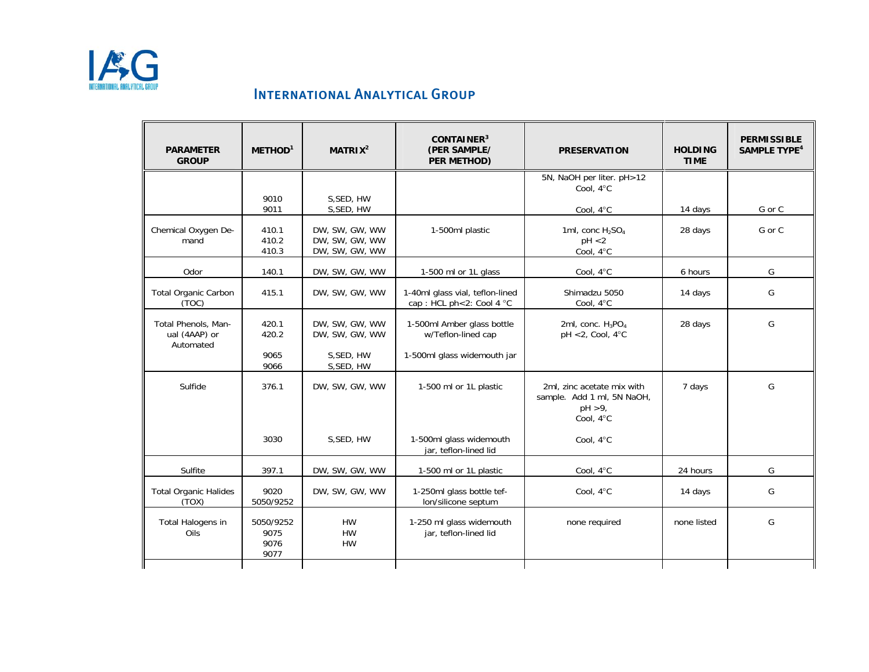

| <b>PARAMETER</b><br><b>GROUP</b>                  | METHOD <sup>1</sup>               | MATRIX <sup>2</sup>                                | CONTAINER <sup>3</sup><br>(PER SAMPLE/<br>PER METHOD)       | <b>PRESERVATION</b>                                                                 | <b>HOLDING</b><br><b>TIME</b> | <b>PERMISSIBLE</b><br><b>SAMPLE TYPE<sup>4</sup></b> |
|---------------------------------------------------|-----------------------------------|----------------------------------------------------|-------------------------------------------------------------|-------------------------------------------------------------------------------------|-------------------------------|------------------------------------------------------|
|                                                   | 9010                              | S, SED, HW                                         |                                                             | 5N, NaOH per liter. pH>12<br>Cool, 4°C                                              |                               |                                                      |
|                                                   | 9011                              | S, SED, HW                                         |                                                             | Cool, 4°C                                                                           | 14 days                       | G or C                                               |
| Chemical Oxygen De-<br>mand                       | 410.1<br>410.2<br>410.3           | DW, SW, GW, WW<br>DW, SW, GW, WW<br>DW, SW, GW, WW | 1-500ml plastic                                             | 1ml, conc H <sub>2</sub> SO <sub>4</sub><br>pH < 2<br>Cool, 4°C                     | 28 days                       | G or C                                               |
| Odor                                              | 140.1                             | DW, SW, GW, WW                                     | 1-500 ml or 1L glass                                        | Cool, 4°C                                                                           | 6 hours                       | G                                                    |
| <b>Total Organic Carbon</b><br>(TOC)              | 415.1                             | DW, SW, GW, WW                                     | 1-40ml glass vial, teflon-lined<br>cap: HCL ph<2: Cool 4 °C | Shimadzu 5050<br>Cool, 4°C                                                          | 14 days                       | G                                                    |
| Total Phenols, Man-<br>ual (4AAP) or<br>Automated | 420.1<br>420.2                    | DW, SW, GW, WW<br>DW, SW, GW, WW                   | 1-500ml Amber glass bottle<br>w/Teflon-lined cap            | 2ml, conc. H <sub>3</sub> PO <sub>4</sub><br>$pH < 2$ , Cool, 4 $\degree$ C         | 28 days                       | G                                                    |
|                                                   | 9065<br>9066                      | S, SED, HW<br>S, SED, HW                           | 1-500ml glass widemouth jar                                 |                                                                                     |                               |                                                      |
| Sulfide                                           | 376.1                             | DW, SW, GW, WW                                     | 1-500 ml or 1L plastic                                      | 2ml, zinc acetate mix with<br>sample. Add 1 ml, 5N NaOH,<br>$pH > 9$ ,<br>Cool, 4°C | 7 days                        | G                                                    |
|                                                   | 3030                              | S, SED, HW                                         | 1-500ml glass widemouth<br>jar, teflon-lined lid            | Cool, 4°C                                                                           |                               |                                                      |
| Sulfite                                           | 397.1                             | DW, SW, GW, WW                                     | 1-500 ml or 1L plastic                                      | Cool, 4°C                                                                           | 24 hours                      | G                                                    |
| <b>Total Organic Halides</b><br>(TOX)             | 9020<br>5050/9252                 | DW, SW, GW, WW                                     | 1-250ml glass bottle tef-<br>lon/silicone septum            | Cool, 4°C                                                                           | 14 days                       | G                                                    |
| Total Halogens in<br>Oils                         | 5050/9252<br>9075<br>9076<br>9077 | <b>HW</b><br><b>HW</b><br><b>HW</b>                | 1-250 ml glass widemouth<br>jar, teflon-lined lid           | none required                                                                       | none listed                   | G                                                    |
|                                                   |                                   |                                                    |                                                             |                                                                                     |                               |                                                      |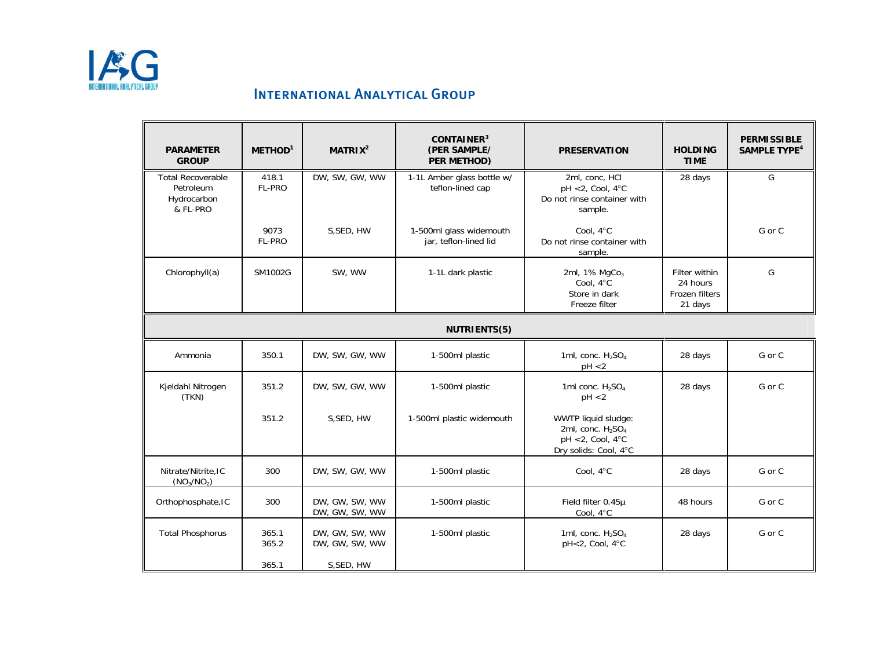

| <b>PARAMETER</b><br><b>GROUP</b>                                 | METHOD <sup>1</sup> | MATRIX <sup>2</sup>              | CONTAINER <sup>3</sup><br>(PER SAMPLE/<br>PER METHOD) | <b>PRESERVATION</b>                                                                                                  | <b>HOLDING</b><br><b>TIME</b>                          | <b>PERMISSIBLE</b><br><b>SAMPLE TYPE<sup>4</sup></b> |  |
|------------------------------------------------------------------|---------------------|----------------------------------|-------------------------------------------------------|----------------------------------------------------------------------------------------------------------------------|--------------------------------------------------------|------------------------------------------------------|--|
| <b>Total Recoverable</b><br>Petroleum<br>Hydrocarbon<br>& FL-PRO | 418.1<br>FL-PRO     | DW, SW, GW, WW                   | 1-1L Amber glass bottle w/<br>teflon-lined cap        | 2ml, conc, HCl<br>$pH < 2$ , Cool, 4°C<br>Do not rinse container with<br>sample.                                     | 28 days                                                | G                                                    |  |
|                                                                  | 9073<br>FL-PRO      | S, SED, HW                       | 1-500ml glass widemouth<br>jar, teflon-lined lid      | Cool, 4°C<br>Do not rinse container with<br>sample.                                                                  |                                                        | G or C                                               |  |
| Chlorophyll(a)                                                   | SM1002G             | SW, WW                           | 1-1L dark plastic                                     | 2ml, 1% MgCo <sub>3</sub><br>Cool. 4°C<br>Store in dark<br>Freeze filter                                             | Filter within<br>24 hours<br>Frozen filters<br>21 days | G                                                    |  |
| NUTRIENTS(5)                                                     |                     |                                  |                                                       |                                                                                                                      |                                                        |                                                      |  |
| Ammonia                                                          | 350.1               | DW, SW, GW, WW                   | 1-500ml plastic                                       | 1ml, conc. $H2SO4$<br>pH < 2                                                                                         | 28 days                                                | G or C                                               |  |
| Kjeldahl Nitrogen<br>(TKN)                                       | 351.2               | DW, SW, GW, WW                   | 1-500ml plastic                                       | 1ml conc. H <sub>2</sub> SO <sub>4</sub><br>pH < 2                                                                   | 28 days                                                | G or C                                               |  |
|                                                                  | 351.2               | S.SED, HW                        | 1-500ml plastic widemouth                             | WWTP liquid sludge:<br>2ml, conc. H <sub>2</sub> SO <sub>4</sub><br>$pH < 2$ , Cool, 4 $°C$<br>Dry solids: Cool, 4°C |                                                        |                                                      |  |
| Nitrate/Nitrite, IC<br>(NO <sub>3</sub> /NO <sub>2</sub> )       | 300                 | DW, SW, GW, WW                   | 1-500ml plastic                                       | Cool, 4°C                                                                                                            | 28 days                                                | G or C                                               |  |
| Orthophosphate, IC                                               | 300                 | DW, GW, SW, WW<br>DW, GW, SW, WW | 1-500ml plastic                                       | Field filter 0.45µ<br>Cool, 4°C                                                                                      | 48 hours                                               | G or C                                               |  |
| <b>Total Phosphorus</b>                                          | 365.1<br>365.2      | DW, GW, SW, WW<br>DW, GW, SW, WW | 1-500ml plastic                                       | 1ml, conc. $H_2SO_4$<br>pH<2, Cool, 4°C                                                                              | 28 days                                                | G or C                                               |  |
|                                                                  | 365.1               | S, SED, HW                       |                                                       |                                                                                                                      |                                                        |                                                      |  |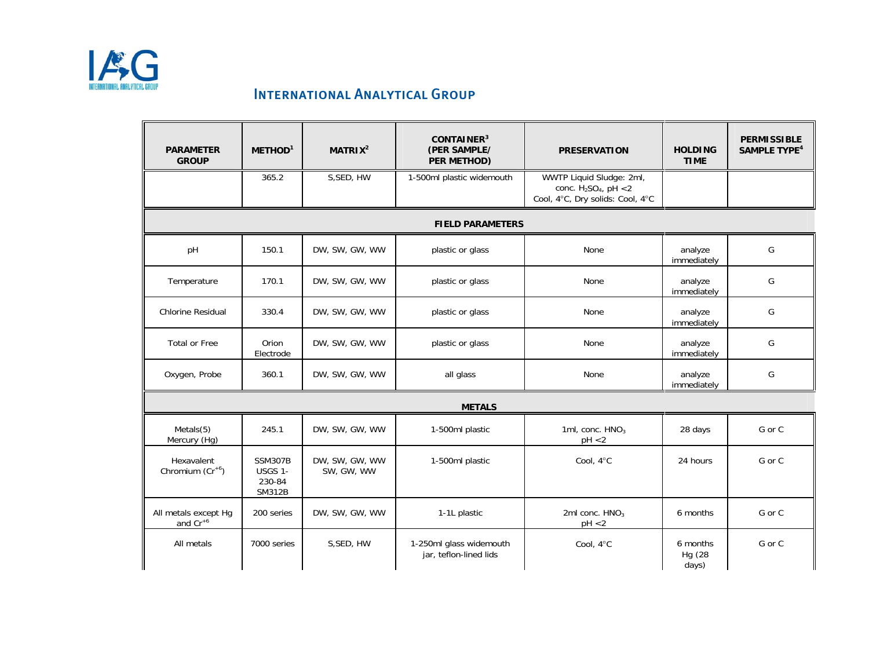

| <b>PARAMETER</b><br><b>GROUP</b>      | METHOD <sup>1</sup>                                  | MATRIX <sup>2</sup>          | CONTAINER <sup>3</sup><br>(PER SAMPLE/<br>PER METHOD) | <b>PRESERVATION</b>                                                                     | <b>HOLDING</b><br><b>TIME</b> | <b>PERMISSIBLE</b><br><b>SAMPLE TYPE<sup>4</sup></b> |  |  |
|---------------------------------------|------------------------------------------------------|------------------------------|-------------------------------------------------------|-----------------------------------------------------------------------------------------|-------------------------------|------------------------------------------------------|--|--|
|                                       | 365.2                                                | S, SED, HW                   | 1-500ml plastic widemouth                             | WWTP Liquid Sludge: 2ml,<br>conc. $H_2SO_4$ , pH <2<br>Cool, 4°C, Dry solids: Cool, 4°C |                               |                                                      |  |  |
|                                       |                                                      |                              | <b>FIELD PARAMETERS</b>                               |                                                                                         |                               |                                                      |  |  |
| pH                                    | 150.1                                                | DW, SW, GW, WW               | plastic or glass                                      | None                                                                                    | analyze<br>immediately        | G                                                    |  |  |
| Temperature                           | 170.1                                                | DW, SW, GW, WW               | plastic or glass                                      | None                                                                                    | analyze<br>immediately        | G                                                    |  |  |
| <b>Chlorine Residual</b>              | 330.4                                                | DW, SW, GW, WW               | plastic or glass                                      | None                                                                                    | analyze<br>immediately        | G                                                    |  |  |
| <b>Total or Free</b>                  | Orion<br>Electrode                                   | DW, SW, GW, WW               | plastic or glass                                      | None                                                                                    | analyze<br>immediately        | G                                                    |  |  |
| Oxygen, Probe                         | 360.1                                                | DW, SW, GW, WW               | all glass                                             | None                                                                                    | analyze<br>immediately        | G                                                    |  |  |
|                                       | <b>METALS</b>                                        |                              |                                                       |                                                                                         |                               |                                                      |  |  |
| Meta(s(5))<br>Mercury (Hg)            | 245.1                                                | DW, SW, GW, WW               | 1-500ml plastic                                       | 1ml, conc. $HNO3$<br>pH < 2                                                             | 28 days                       | G or C                                               |  |  |
| Hexavalent<br>Chromium $(Cr^{+6})$    | <b>SSM307B</b><br>USGS 1-<br>230-84<br><b>SM312B</b> | DW, SW, GW, WW<br>SW, GW, WW | 1-500ml plastic                                       | Cool, 4°C                                                                               | 24 hours                      | G or C                                               |  |  |
| All metals except Hg<br>and $Cr^{+6}$ | 200 series                                           | DW, SW, GW, WW               | 1-1L plastic                                          | 2ml conc. HNO <sub>3</sub><br>pH < 2                                                    | 6 months                      | G or C                                               |  |  |
| All metals                            | 7000 series                                          | S, SED, HW                   | 1-250ml glass widemouth<br>jar, teflon-lined lids     | Cool, 4°C                                                                               | 6 months<br>Hg (28<br>days)   | G or C                                               |  |  |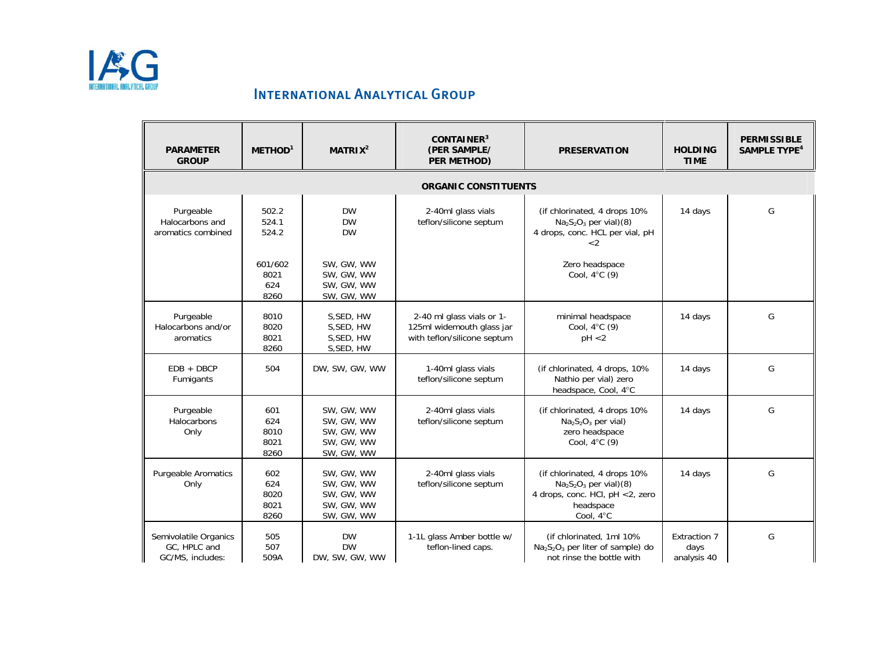

| <b>PARAMETER</b><br><b>GROUP</b>                          | METHOD <sup>1</sup>                | MATRIX <sup>2</sup>                                                | CONTAINER <sup>3</sup><br>(PER SAMPLE/<br>PER METHOD)                                 | <b>PRESERVATION</b>                                                                                                 | <b>HOLDING</b><br><b>TIME</b>       | <b>PERMISSIBLE</b><br><b>SAMPLE TYPE<sup>4</sup></b> |
|-----------------------------------------------------------|------------------------------------|--------------------------------------------------------------------|---------------------------------------------------------------------------------------|---------------------------------------------------------------------------------------------------------------------|-------------------------------------|------------------------------------------------------|
|                                                           |                                    |                                                                    | <b>ORGANIC CONSTITUENTS</b>                                                           |                                                                                                                     |                                     |                                                      |
| Purgeable<br>Halocarbons and<br>aromatics combined        | 502.2<br>524.1<br>524.2            | <b>DW</b><br><b>DW</b><br><b>DW</b>                                | 2-40ml glass vials<br>teflon/silicone septum                                          | (if chlorinated, 4 drops 10%<br>$Na2S2O3$ per vial)(8)<br>4 drops, conc. HCL per vial, pH<br>$\leq$ 2               | 14 days                             | G                                                    |
|                                                           | 601/602<br>8021<br>624<br>8260     | SW, GW, WW<br>SW, GW, WW<br>SW, GW, WW<br>SW, GW, WW               |                                                                                       | Zero headspace<br>Cool, $4^{\circ}$ C (9)                                                                           |                                     |                                                      |
| Purgeable<br>Halocarbons and/or<br>aromatics              | 8010<br>8020<br>8021<br>8260       | S, SED, HW<br>S, SED, HW<br>S, SED, HW<br>S, SED, HW               | 2-40 ml glass vials or 1-<br>125ml widemouth glass jar<br>with teflon/silicone septum | minimal headspace<br>Cool, $4^{\circ}$ C (9)<br>pH < 2                                                              | 14 days                             | G                                                    |
| $EDB + DBCP$<br>Fumigants                                 | 504                                | DW, SW, GW, WW                                                     | 1-40ml glass vials<br>teflon/silicone septum                                          | (if chlorinated, 4 drops, 10%)<br>Nathio per vial) zero<br>headspace, Cool, 4°C                                     | 14 days                             | G                                                    |
| Purgeable<br>Halocarbons<br>Only                          | 601<br>624<br>8010<br>8021<br>8260 | SW. GW. WW<br>SW, GW, WW<br>SW, GW, WW<br>SW, GW, WW<br>SW, GW, WW | 2-40ml glass vials<br>teflon/silicone septum                                          | (if chlorinated, 4 drops 10%<br>$Na2S2O3$ per vial)<br>zero headspace<br>Cool, 4°C (9)                              | 14 days                             | G                                                    |
| <b>Purgeable Aromatics</b><br>Only                        | 602<br>624<br>8020<br>8021<br>8260 | SW. GW. WW<br>SW, GW, WW<br>SW, GW, WW<br>SW, GW, WW<br>SW, GW, WW | 2-40ml glass vials<br>teflon/silicone septum                                          | (if chlorinated, 4 drops 10%<br>$Na2S2O3$ per vial)(8)<br>4 drops, conc. HCl, pH <2, zero<br>headspace<br>Cool, 4°C | 14 days                             | G                                                    |
| Semivolatile Organics<br>GC. HPLC and<br>GC/MS, includes: | 505<br>507<br>509A                 | <b>DW</b><br><b>DW</b><br>DW, SW, GW, WW                           | 1-1L glass Amber bottle w/<br>teflon-lined caps.                                      | (if chlorinated, 1ml 10%<br>$Na2S2O3$ per liter of sample) do<br>not rinse the bottle with                          | Extraction 7<br>days<br>analysis 40 | G                                                    |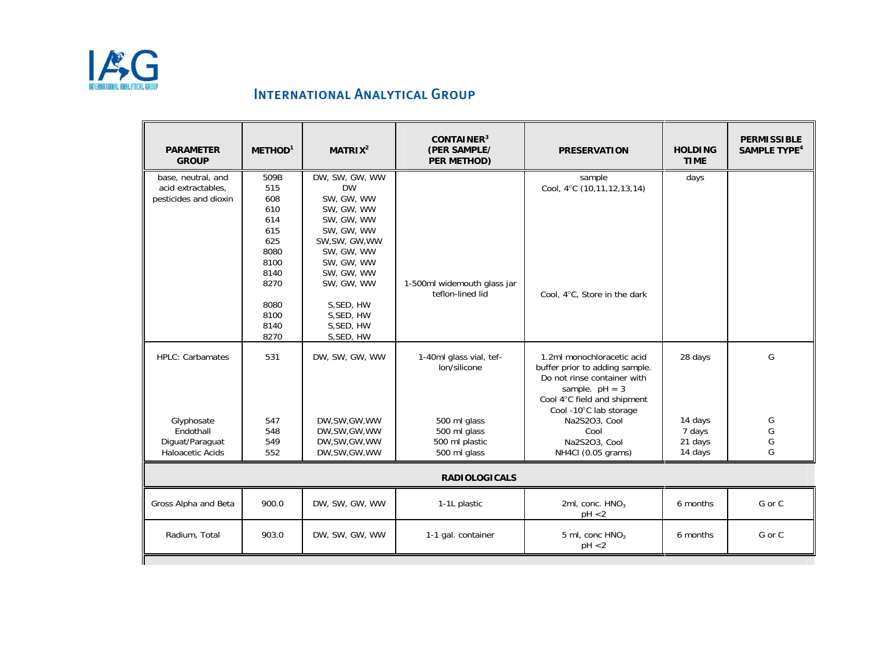

| <b>PARAMETER</b><br><b>GROUP</b> | METHOD <sup>1</sup>  | MATRIX <sup>2</sup>      | CONTAINER <sup>3</sup><br>(PER SAMPLE/<br>PER METHOD) | <b>PRESERVATION</b>                                                                                                                                                      | <b>HOLDING</b><br><b>TIME</b> | <b>PERMISSIBLE</b><br><b>SAMPLE TYPE<sup>4</sup></b> |  |  |
|----------------------------------|----------------------|--------------------------|-------------------------------------------------------|--------------------------------------------------------------------------------------------------------------------------------------------------------------------------|-------------------------------|------------------------------------------------------|--|--|
| base, neutral, and               | 509B                 | DW, SW, GW, WW           |                                                       | sample                                                                                                                                                                   | days                          |                                                      |  |  |
| acid extractables,               | 515                  | <b>DW</b>                |                                                       | Cool, 4°C (10,11,12,13,14)                                                                                                                                               |                               |                                                      |  |  |
| pesticides and dioxin            | 608                  | SW. GW. WW               |                                                       |                                                                                                                                                                          |                               |                                                      |  |  |
|                                  | 610                  | SW, GW, WW               |                                                       |                                                                                                                                                                          |                               |                                                      |  |  |
|                                  | 614                  | SW, GW, WW               |                                                       |                                                                                                                                                                          |                               |                                                      |  |  |
|                                  | 615                  | SW, GW, WW               |                                                       |                                                                                                                                                                          |                               |                                                      |  |  |
|                                  | 625                  | SW, SW, GW, WW           |                                                       |                                                                                                                                                                          |                               |                                                      |  |  |
|                                  | 8080                 | SW, GW, WW               |                                                       |                                                                                                                                                                          |                               |                                                      |  |  |
|                                  | 8100                 | SW, GW, WW               |                                                       |                                                                                                                                                                          |                               |                                                      |  |  |
|                                  | 8140                 | SW, GW, WW               |                                                       |                                                                                                                                                                          |                               |                                                      |  |  |
|                                  | 8270                 | SW, GW, WW               | 1-500ml widemouth glass jar<br>teflon-lined lid       |                                                                                                                                                                          |                               |                                                      |  |  |
|                                  | 8080                 |                          |                                                       | Cool, 4°C, Store in the dark                                                                                                                                             |                               |                                                      |  |  |
|                                  | 8100                 | S, SED, HW<br>S, SED, HW |                                                       |                                                                                                                                                                          |                               |                                                      |  |  |
|                                  | 8140                 | S, SED, HW               |                                                       |                                                                                                                                                                          |                               |                                                      |  |  |
|                                  | 8270                 | S, SED, HW               |                                                       |                                                                                                                                                                          |                               |                                                      |  |  |
|                                  |                      |                          |                                                       |                                                                                                                                                                          |                               |                                                      |  |  |
| <b>HPLC: Carbamates</b>          | 531                  | DW, SW, GW, WW           | 1-40ml glass vial, tef-<br>lon/silicone               | 1.2ml monochloracetic acid<br>buffer prior to adding sample.<br>Do not rinse container with<br>sample. $pH = 3$<br>Cool 4°C field and shipment<br>Cool -10°C lab storage | 28 days                       | G                                                    |  |  |
| Glyphosate                       | 547                  | DW, SW, GW, WW           | 500 ml glass                                          | Na2S2O3, Cool                                                                                                                                                            | 14 days                       | G                                                    |  |  |
| Endothall                        | 548                  | DW, SW, GW, WW           | 500 ml glass                                          | Cool                                                                                                                                                                     | 7 days                        | G                                                    |  |  |
| Diguat/Paraguat                  | 549                  | DW, SW, GW, WW           | 500 ml plastic                                        | Na2S2O3, Cool                                                                                                                                                            | 21 days                       | G                                                    |  |  |
| <b>Haloacetic Acids</b>          | 552                  | DW, SW, GW, WW           | 500 ml glass                                          | NH4Cl (0.05 grams)                                                                                                                                                       | 14 days                       | G                                                    |  |  |
|                                  | <b>RADIOLOGICALS</b> |                          |                                                       |                                                                                                                                                                          |                               |                                                      |  |  |
| Gross Alpha and Beta             | 900.0                | DW, SW, GW, WW           | 1-1L plastic                                          | 2ml, conc. HNO <sub>3</sub><br>pH < 2                                                                                                                                    | 6 months                      | G or C                                               |  |  |
| Radium, Total                    | 903.0                | DW, SW, GW, WW           | 1-1 gal. container                                    | 5 ml, conc $HNO3$<br>pH < 2                                                                                                                                              | 6 months                      | G or C                                               |  |  |